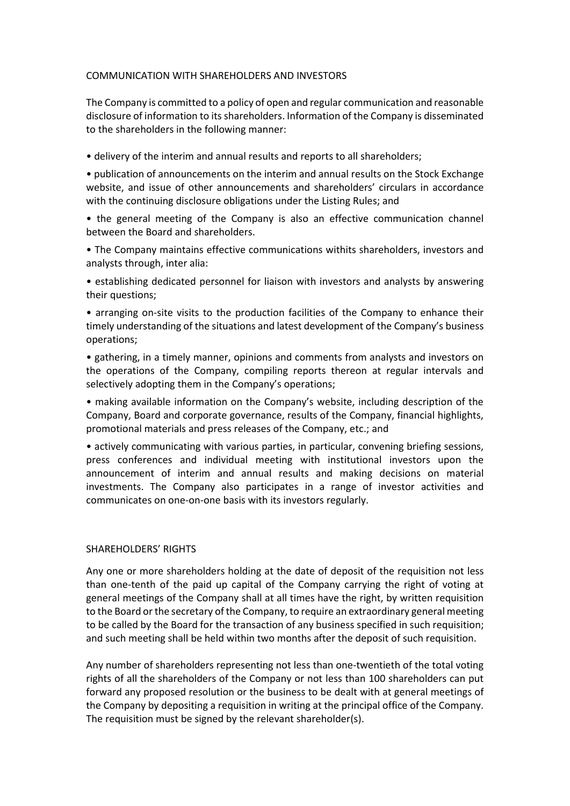## COMMUNICATION WITH SHAREHOLDERS AND INVESTORS

The Company is committed to a policy of open and regular communication and reasonable disclosure of information to its shareholders. Information of the Company is disseminated to the shareholders in the following manner:

• delivery of the interim and annual results and reports to all shareholders;

• publication of announcements on the interim and annual results on the Stock Exchange website, and issue of other announcements and shareholders' circulars in accordance with the continuing disclosure obligations under the Listing Rules; and

• the general meeting of the Company is also an effective communication channel between the Board and shareholders.

• The Company maintains effective communications withits shareholders, investors and analysts through, inter alia:

• establishing dedicated personnel for liaison with investors and analysts by answering their questions;

• arranging on-site visits to the production facilities of the Company to enhance their timely understanding of the situations and latest development of the Company's business operations;

• gathering, in a timely manner, opinions and comments from analysts and investors on the operations of the Company, compiling reports thereon at regular intervals and selectively adopting them in the Company's operations;

• making available information on the Company's website, including description of the Company, Board and corporate governance, results of the Company, financial highlights, promotional materials and press releases of the Company, etc.; and

• actively communicating with various parties, in particular, convening briefing sessions, press conferences and individual meeting with institutional investors upon the announcement of interim and annual results and making decisions on material investments. The Company also participates in a range of investor activities and communicates on one-on-one basis with its investors regularly.

## SHAREHOLDERS' RIGHTS

Any one or more shareholders holding at the date of deposit of the requisition not less than one-tenth of the paid up capital of the Company carrying the right of voting at general meetings of the Company shall at all times have the right, by written requisition to the Board or the secretary of the Company, to require an extraordinary general meeting to be called by the Board for the transaction of any business specified in such requisition; and such meeting shall be held within two months after the deposit of such requisition.

Any number of shareholders representing not less than one-twentieth of the total voting rights of all the shareholders of the Company or not less than 100 shareholders can put forward any proposed resolution or the business to be dealt with at general meetings of the Company by depositing a requisition in writing at the principal office of the Company. The requisition must be signed by the relevant shareholder(s).